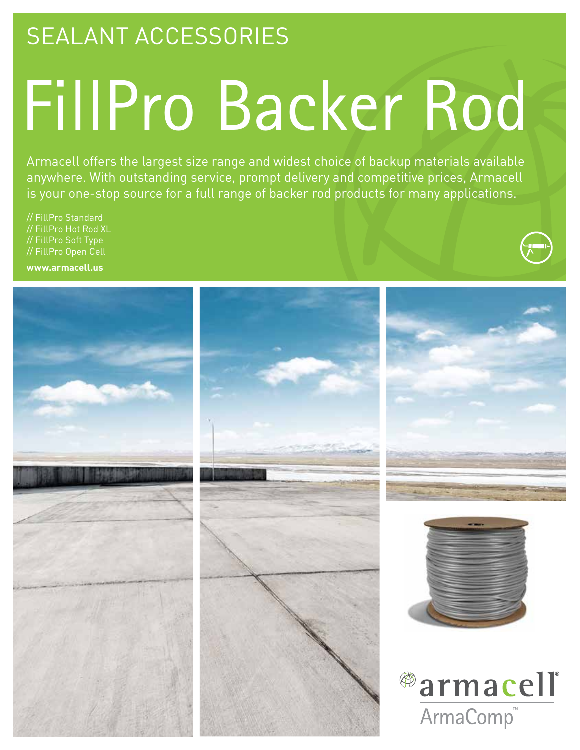## SEALANT ACCESSORIES

# FillPro Backer Rod

Armacell offers the largest size range and widest choice of backup materials available anywhere. With outstanding service, prompt delivery and competitive prices, Armacell is your one-stop source for a full range of backer rod products for many applications.

// FillPro Standard // FillPro Hot Rod XL // FillPro Soft Type // FillPro Open Cell

**www.armacell.us**

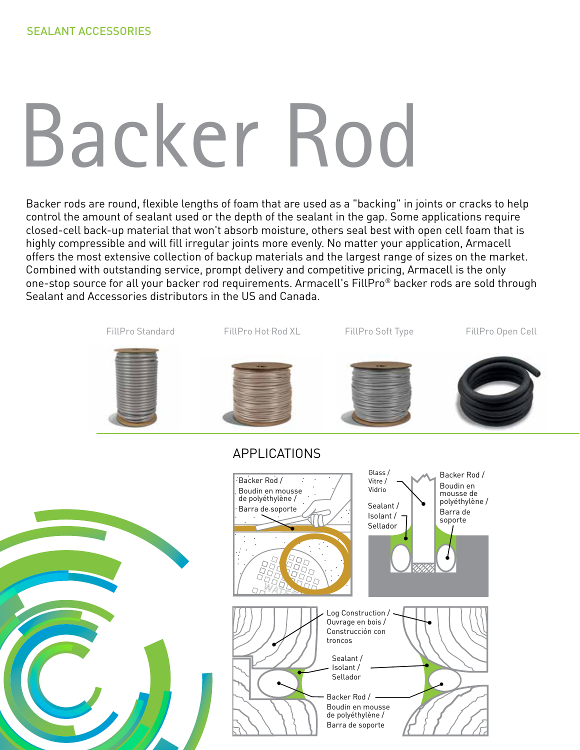# Backer Rod

Backer rods are round, flexible lengths of foam that are used as a "backing" in joints or cracks to help control the amount of sealant used or the depth of the sealant in the gap. Some applications require closed-cell back-up material that won't absorb moisture, others seal best with open cell foam that is highly compressible and will fill irregular joints more evenly. No matter your application, Armacell offers the most extensive collection of backup materials and the largest range of sizes on the market. Combined with outstanding service, prompt delivery and competitive pricing, Armacell is the only one-stop source for all your backer rod requirements. Armacell's FillPro® backer rods are sold through Sealant and Accessories distributors in the US and Canada.

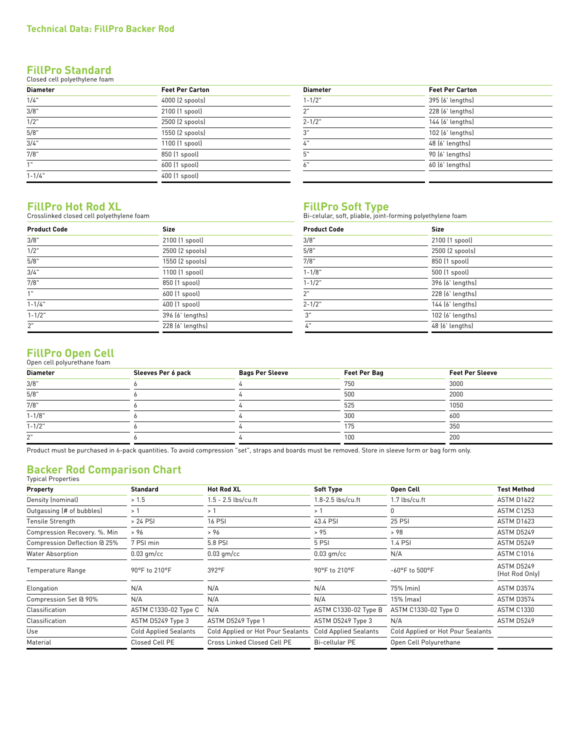#### **FillPro Standard** Closed cell polyethylene foam

| <b>Diameter</b> | <b>Feet Per Carton</b> | <b>Diameter</b> | <b>Feet Per Carton</b> |
|-----------------|------------------------|-----------------|------------------------|
| 1/4"            | 4000 (2 spools)        | $1 - 1/2"$      | 395 (6' lengths)       |
| 3/8"            | 2100 (1 spool)         | ייר             | 228 (6' lengths)       |
| 1/2"            | 2500 (2 spools)        | $2 - 1/2"$      | 144 (6' lengths)       |
| 5/8"            | 1550 (2 spools)        | 3"              | 102 (6' lengths)       |
| 3/4"            | 1100 (1 spool)         | 4"              | 48 (6' lengths)        |
| 7/8"            | 850 (1 spool)          | 5"              | 90 (6' lengths)        |
| 1"              | 600 (1 spool)          | 6"              | 60 (6' lengths)        |
| $1 - 1/4$ "     | 400 (1 spool)          |                 |                        |

| <b>Diameter</b>  | <b>Feet Per Carton</b> |
|------------------|------------------------|
| $1 - 1/2"$       | 395 (6' lengths)       |
| 2"               | 228 (6' lengths)       |
| $2 - 1/2"$       | 144 (6' lengths)       |
| $\overline{3}$ " | 102 (6' lengths)       |
| 4"               | 48 (6' lengths)        |
| 5"               | 90 (6' lengths)        |
| 6"               | 60 (6' lengths)        |

#### **FillPro Hot Rod XL**

Crosslinked closed cell polyethylene foam

| <b>Size</b><br><b>Product Code</b> |                  | <b>Product Code</b> | Size             |  |
|------------------------------------|------------------|---------------------|------------------|--|
| 3/8"                               | 2100 (1 spool)   | 3/8"                | 2100 (1 spool)   |  |
| 1/2"                               | 2500 (2 spools)  | 5/8"                | 2500 (2 spools)  |  |
| 5/8"<br>1550 (2 spools)            |                  | 7/8"                | 850 (1 spool)    |  |
| 3/4"                               | 1100 (1 spool)   | $1 - 1/8"$          | 500 (1 spool)    |  |
| 7/8"                               | 850 (1 spool)    | $1 - 1/2"$          | 396 (6' lengths) |  |
| 1"                                 | 600 (1 spool)    | 2"                  | 228 (6' lengths) |  |
| $1 - 1/4$ "                        | 400 (1 spool)    | $2 - 1/2"$          | 144 (6' lengths) |  |
| $1 - 1/2"$                         | 396 (6' lengths) | 3"                  | 102 (6' lengths) |  |
| 2"                                 | 228 (6' lengths) | 4"                  | 48 (6' lengths)  |  |

**FillPro Soft Type**<br>Bi-celular, soft, pliable, joint-forming polyethylene foam

| <b>Product Code</b> | <b>Size</b>      |  |  |
|---------------------|------------------|--|--|
| 3/8"                | 2100 (1 spool)   |  |  |
| 5/8"                | 2500 (2 spools)  |  |  |
| 7/8"                | 850 (1 spool)    |  |  |
| $1 - 1/8"$          | 500 (1 spool)    |  |  |
| $1 - 1/2"$          | 396 (6' lengths) |  |  |
| 2"                  | 228 [6' lengths] |  |  |
| $2 - 1/2"$          | 144 (6' lengths) |  |  |
| 3"                  | 102 (6' lengths) |  |  |
| 4"                  | 48 (6' lengths)  |  |  |

#### **FillPro Open Cell** Open cell polyurethane foam

| Open cett potyurethane roam |                    |                        |                     |                        |  |
|-----------------------------|--------------------|------------------------|---------------------|------------------------|--|
| <b>Diameter</b>             | Sleeves Per 6 pack | <b>Bags Per Sleeve</b> | <b>Feet Per Bag</b> | <b>Feet Per Sleeve</b> |  |
| 3/8"                        |                    |                        | 750                 | 3000                   |  |
| 5/8"                        |                    |                        | 500                 | 2000                   |  |
| 7/8"                        |                    |                        | 525                 | 1050                   |  |
| $1 - 1/8"$                  |                    |                        | 300                 | 600                    |  |
| $1 - 1/2$ "                 |                    |                        | 175                 | 350                    |  |
| ייר                         |                    |                        | 100                 | 200                    |  |
|                             |                    |                        |                     |                        |  |

Product must be purchased in 6-pack quantities. To avoid compression "set", straps and boards must be removed. Store in sleeve form or bag form only.

#### **Backer Rod Comparison Chart** Typical Properties

| > 1.5<br>>1<br>> 24 PSI      | $1.5 - 2.5$ lbs/cu.ft<br>>1       | 1.8-2.5 lbs/cu.ft            | 1.7 lbs/cu.ft                     | <b>ASTM D1622</b>            |
|------------------------------|-----------------------------------|------------------------------|-----------------------------------|------------------------------|
|                              |                                   |                              |                                   |                              |
|                              |                                   | >1                           | n                                 | <b>ASTM C1253</b>            |
|                              | <b>16 PSI</b>                     | 43.4 PSI                     | <b>25 PSI</b>                     | <b>ASTM D1623</b>            |
| > 96                         | > 96                              | > 95                         | > 98                              | ASTM D5249                   |
| 7 PSI min                    | 5.8 PSI                           | 5 PSI                        | 1.4 PSI                           | ASTM D5249                   |
| $0.03$ qm/cc                 | $0.03$ qm/cc                      | $0.03$ qm/cc                 | N/A                               | <b>ASTM C1016</b>            |
| 90°F to 210°F                | 392°F                             | 90°F to 210°F                | -60°F to 500°F                    | ASTM D5249<br>(Hot Rod Only) |
| N/A                          | N/A                               | N/A                          | 75% (min)                         | ASTM D3574                   |
| N/A                          | N/A                               | N/A                          | $15%$ (max)                       | ASTM D3574                   |
| ASTM C1330-02 Type C         | N/A                               | ASTM C1330-02 Type B         | ASTM C1330-02 Type O              | <b>ASTM C1330</b>            |
| ASTM D5249 Type 3            | ASTM D5249 Type 1                 | ASTM D5249 Type 3            | N/A                               | ASTM D5249                   |
| <b>Cold Applied Sealants</b> | Cold Applied or Hot Pour Sealants | <b>Cold Applied Sealants</b> | Cold Applied or Hot Pour Sealants |                              |
| Closed Cell PE               | Cross Linked Closed Cell PE       | <b>Bi-cellular PE</b>        | Open Cell Polyurethane            |                              |
|                              |                                   |                              |                                   |                              |